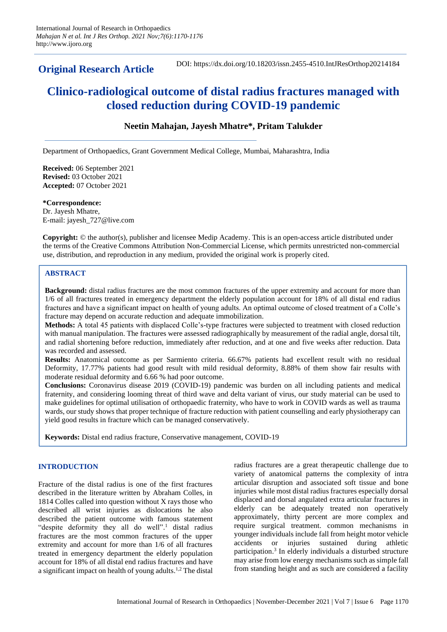## **Original Research Article**

DOI: https://dx.doi.org/10.18203/issn.2455-4510.IntJResOrthop20214184

# **Clinico-radiological outcome of distal radius fractures managed with closed reduction during COVID-19 pandemic**

## **Neetin Mahajan, Jayesh Mhatre\*, Pritam Talukder**

Department of Orthopaedics, Grant Government Medical College, Mumbai, Maharashtra, India

**Received:** 06 September 2021 **Revised:** 03 October 2021 **Accepted:** 07 October 2021

**\*Correspondence:** Dr. Jayesh Mhatre, E-mail: jayesh\_727@live.com

**Copyright:** © the author(s), publisher and licensee Medip Academy. This is an open-access article distributed under the terms of the Creative Commons Attribution Non-Commercial License, which permits unrestricted non-commercial use, distribution, and reproduction in any medium, provided the original work is properly cited.

## **ABSTRACT**

**Background:** distal radius fractures are the most common fractures of the upper extremity and account for more than 1/6 of all fractures treated in emergency department the elderly population account for 18% of all distal end radius fractures and have a significant impact on health of young adults. An optimal outcome of closed treatment of a Colle's fracture may depend on accurate reduction and adequate immobilization.

**Methods:** A total 45 patients with displaced Colle's-type fractures were subjected to treatment with closed reduction with manual manipulation. The fractures were assessed radiographically by measurement of the radial angle, dorsal tilt, and radial shortening before reduction, immediately after reduction, and at one and five weeks after reduction. Data was recorded and assessed.

**Results:** Anatomical outcome as per Sarmiento criteria. 66.67% patients had excellent result with no residual Deformity, 17.77% patients had good result with mild residual deformity, 8.88% of them show fair results with moderate residual deformity and 6.66 % had poor outcome.

**Conclusions:** Coronavirus disease 2019 (COVID-19) pandemic was burden on all including patients and medical fraternity, and considering looming threat of third wave and delta variant of virus, our study material can be used to make guidelines for optimal utilisation of orthopaedic fraternity, who have to work in COVID wards as well as trauma wards, our study shows that proper technique of fracture reduction with patient counselling and early physiotherapy can yield good results in fracture which can be managed conservatively.

**Keywords:** Distal end radius fracture, Conservative management, COVID-19

## **INTRODUCTION**

Fracture of the distal radius is one of the first fractures described in the literature written by Abraham Colles, in 1814 Colles called into question without X rays those who described all wrist injuries as dislocations he also described the patient outcome with famous statement "despite deformity they all do well".<sup>1</sup> distal radius fractures are the most common fractures of the upper extremity and account for more than 1/6 of all fractures treated in emergency department the elderly population account for 18% of all distal end radius fractures and have a significant impact on health of young adults.<sup>1,2</sup> The distal radius fractures are a great therapeutic challenge due to variety of anatomical patterns the complexity of intra articular disruption and associated soft tissue and bone injuries while most distal radius fractures especially dorsal displaced and dorsal angulated extra articular fractures in elderly can be adequately treated non operatively approximately, thirty percent are more complex and require surgical treatment. common mechanisms in younger individuals include fall from height motor vehicle accidents or injuries sustained during athletic participation. 3 In elderly individuals a disturbed structure may arise from low energy mechanisms such as simple fall from standing height and as such are considered a facility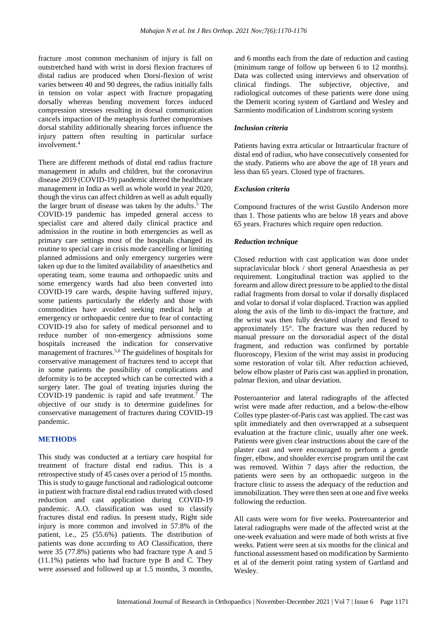fracture .most common mechanism of injury is fall on outstretched hand with wrist in dorsi flexion fractures of distal radius are produced when Dorsi-flexion of wrist varies between 40 and 90 degrees, the radius initially falls in tension on volar aspect with fracture propagating dorsally whereas bending movement forces induced compression stresses resulting in dorsal communication cancels impaction of the metaphysis further compromises dorsal stability additionally shearing forces influence the injury pattern often resulting in particular surface involvement. 4

There are different methods of distal end radius fracture management in adults and children, but the coronavirus disease 2019 (COVID-19) pandemic altered the healthcare management in India as well as whole world in year 2020, though the virus can affect children as well as adult equally the larger brunt of disease was taken by the adults. <sup>5</sup> The COVID-19 pandemic has impeded general access to specialist care and altered daily clinical practice and admission in the routine in both emergencies as well as primary care settings most of the hospitals changed its routine to special care in crisis mode cancelling or limiting planned admissions and only emergency surgeries were taken up due to the limited availability of anaesthetics and operating team, some trauma and orthopaedic units and some emergency wards had also been converted into COVID-19 care wards, despite having suffered injury, some patients particularly the elderly and those with commodities have avoided seeking medical help at emergency or orthopaedic centre due to fear of contacting COVID-19 also for safety of medical personnel and to reduce number of non-emergency admissions some hospitals increased the indication for conservative management of fractures.<sup>5,6</sup> The guidelines of hospitals for conservative management of fractures tend to accept that in some patients the possibility of complications and deformity is to be accepted which can be corrected with a surgery later. The goal of treating injuries during the COVID-19 pandemic is rapid and safe treatment.<sup>7</sup> The objective of our study is to determine guidelines for conservative management of fractures during COVID-19 pandemic.

## **METHODS**

This study was conducted at a tertiary care hospital for treatment of fracture distal end radius. This is a retrospective study of 45 cases over a period of 15 months. This is study to gauge functional and radiological outcome in patient with fracture distal end radius treated with closed reduction and cast application during COVID-19 pandemic. A.O. classification was used to classify fractures distal end radius. In present study, Right side injury is more common and involved in 57.8% of the patient, i.e., 25 (55.6%) patients. The distribution of patients was done according to AO Classification, there were 35 (77.8%) patients who had fracture type A and 5 (11.1%) patients who had fracture type B and C. They were assessed and followed up at 1.5 months, 3 months, and 6 months each from the date of reduction and casting (minimum range of follow up between 6 to 12 months). Data was collected using interviews and observation of clinical findings. The subjective, objective, and radiological outcomes of these patients were done using the Demerit scoring system of Gartland and Wesley and Sarmiento modification of Lindstrom scoring system

#### *Inclusion criteria*

Patients having extra articular or Intraarticular fracture of distal end of radius, who have consecutively consented for the study. Patients who are above the age of 18 years and less than 65 years. Closed type of fractures.

#### *Exclusion criteria*

Compound fractures of the wrist Gustilo Anderson more than 1. Those patients who are below 18 years and above 65 years. Fractures which require open reduction.

#### *Reduction technique*

Closed reduction with cast application was done under supraclavicular block / short general Anaesthesia as per requirement. Longitudinal traction was applied to the forearm and allow direct pressure to be applied to the distal radial fragments from dorsal to volar if dorsally displaced and volar to dorsal if volar displaced. Traction was applied along the axis of the limb to dis-impact the fracture, and the wrist was then fully deviated ulnarly and flexed to approximately 15°. The fracture was then reduced by manual pressure on the dorsoradial aspect of the distal fragment, and reduction was confirmed by portable fluoroscopy, Flexion of the wrist may assist in producing some restoration of volar tilt. After reduction achieved, below elbow plaster of Paris cast was applied in pronation, palmar flexion, and ulnar deviation.

Posteroanterior and lateral radiographs of the affected wrist were made after reduction, and a below-the-elbow Colles type plaster-of-Paris cast was applied. The cast was split immediately and then overwrapped at a subsequent evaluation at the fracture clinic, usually after one week. Patients were given clear instructions about the care of the plaster cast and were encouraged to perform a gentle finger, elbow, and shoulder exercise program until the cast was removed. Within 7 days after the reduction, the patients were seen by an orthopaedic surgeon in the fracture clinic to assess the adequacy of the reduction and immobilization. They were then seen at one and five weeks following the reduction.

All casts were worn for five weeks. Posteroanterior and lateral radiographs were made of the affected wrist at the one-week evaluation and were made of both wrists at five weeks. Patient were seen at six months for the clinical and functional assessment based on modification by Sarmiento et al of the demerit point rating system of Gartland and Wesley.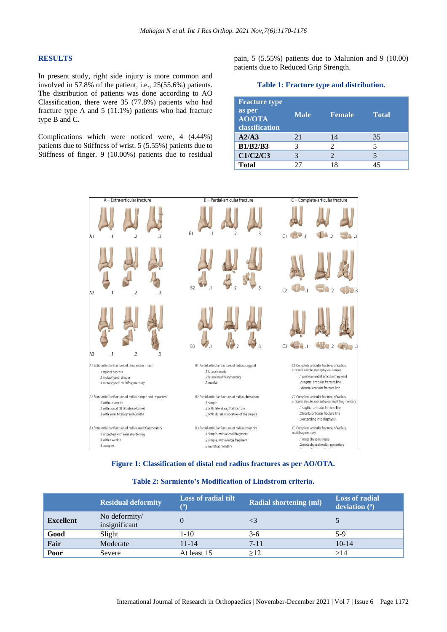#### **RESULTS**

In present study, right side injury is more common and involved in 57.8% of the patient, i.e., 25(55.6%) patients. The distribution of patients was done according to AO Classification, there were 35 (77.8%) patients who had fracture type A and 5 (11.1%) patients who had fracture type B and C.

Complications which were noticed were, 4 (4.44%) patients due to Stiffness of wrist. 5 (5.55%) patients due to Stiffness of finger. 9 (10.00%) patients due to residual pain, 5 (5.55%) patients due to Malunion and 9 (10.00) patients due to Reduced Grip Strength.

**Table 1: Fracture type and distribution.**

| <b>Fracture type</b><br>as per<br><b>AO/OTA</b><br>classification | <b>Male</b> | <b>Female</b>         | <b>Total</b> |
|-------------------------------------------------------------------|-------------|-----------------------|--------------|
| A2/A3                                                             | 21          | 14                    | 35           |
| <b>B1/B2/B3</b>                                                   | 3           | $\mathcal{D}_{\cdot}$ | 5            |
| C1/C2/C3                                                          |             | $\mathcal{D}_{\cdot}$ |              |
| <b>Total</b>                                                      | クフ          |                       |              |



**Figure 1: Classification of distal end radius fractures as per AO/OTA.**

#### **Table 2: Sarmiento's Modification of Lindstrom criteria.**

|                  | <b>Residual deformity</b>      | <b>Loss of radial tilt</b><br>$\left( \mathbf{0}\right)$ | <b>Radial shortening (ml)</b> | <b>Loss of radial</b><br>deviation $(°)$ |
|------------------|--------------------------------|----------------------------------------------------------|-------------------------------|------------------------------------------|
| <b>Excellent</b> | No deformity/<br>insignificant | $\Omega$                                                 |                               |                                          |
| Good             | Slight                         | 1-10                                                     | $3-6$                         | 5-9                                      |
| Fair             | Moderate                       | $11 - 14$                                                | $7 - 11$                      | $10 - 14$                                |
| Poor             | Severe                         | At least 15                                              | $\geq$ 12                     | >14                                      |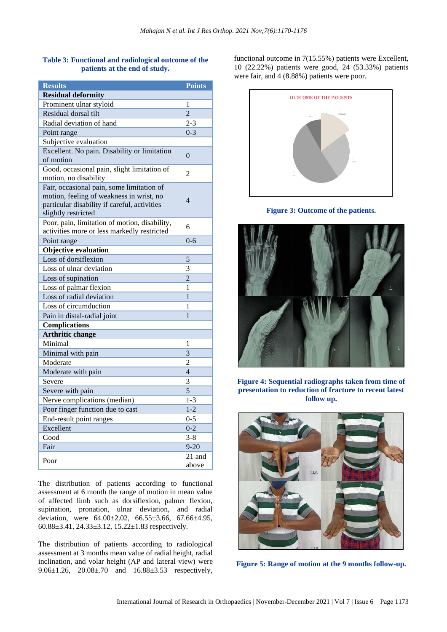## **Table 3: Functional and radiological outcome of the patients at the end of study.**

| <b>Results</b>                                                                                                                                               | <b>Points</b>   |
|--------------------------------------------------------------------------------------------------------------------------------------------------------------|-----------------|
| <b>Residual deformity</b>                                                                                                                                    |                 |
| Prominent ulnar styloid                                                                                                                                      | 1               |
| Residual dorsal tilt                                                                                                                                         | $\overline{2}$  |
| Radial deviation of hand                                                                                                                                     | $2 - 3$         |
| Point range                                                                                                                                                  | $0 - 3$         |
| Subjective evaluation                                                                                                                                        |                 |
| Excellent. No pain. Disability or limitation<br>of motion                                                                                                    | $\theta$        |
| Good, occasional pain, slight limitation of<br>motion, no disability                                                                                         | $\overline{2}$  |
| Fair, occasional pain, some limitation of<br>motion, feeling of weakness in wrist, no<br>particular disability if careful, activities<br>slightly restricted | $\overline{4}$  |
| Poor, pain, limitation of motion, disability,<br>activities more or less markedly restricted                                                                 | 6               |
| Point range                                                                                                                                                  | $0 - 6$         |
| <b>Objective evaluation</b>                                                                                                                                  |                 |
| Loss of dorsiflexion                                                                                                                                         | 5               |
| Loss of ulnar deviation                                                                                                                                      | 3               |
| Loss of supination                                                                                                                                           | $\overline{2}$  |
| Loss of palmar flexion                                                                                                                                       | 1               |
| Loss of radial deviation                                                                                                                                     | 1               |
| Loss of circumduction                                                                                                                                        | 1               |
| Pain in distal-radial joint                                                                                                                                  | 1               |
| <b>Complications</b>                                                                                                                                         |                 |
| <b>Arthritic change</b>                                                                                                                                      |                 |
| Minimal                                                                                                                                                      | 1               |
| Minimal with pain                                                                                                                                            | 3               |
| Moderate                                                                                                                                                     | 2               |
| Moderate with pain                                                                                                                                           | $\overline{4}$  |
| Severe                                                                                                                                                       | 3               |
| Severe with pain                                                                                                                                             | $\overline{5}$  |
| Nerve complications (median)                                                                                                                                 | $1 - 3$         |
| Poor finger function due to cast                                                                                                                             | $1 - 2$         |
| End-result point ranges                                                                                                                                      | $0 - 5$         |
| Excellent                                                                                                                                                    | $0 - 2$         |
| Good                                                                                                                                                         | $3 - 8$         |
| Fair                                                                                                                                                         | $9 - 20$        |
| Poor                                                                                                                                                         | 21 and<br>above |

The distribution of patients according to functional assessment at 6 month the range of motion in mean value of affected limb such as dorsiflexion, palmer flexion, supination, pronation, ulnar deviation, and radial deviation, were 64.00±2.02, 66.55±3.66, 67.66±4.95, 60.88±3.41, 24.33±3.12, 15.22±1.83 respectively.

The distribution of patients according to radiological assessment at 3 months mean value of radial height, radial inclination, and volar height (AP and lateral view) were 9.06±1.26, 20.08±.70 and 16.88±3.53 respectively,

functional outcome in 7(15.55%) patients were Excellent, 10 (22.22%) patients were good, 24 (53.33%) patients were fair, and 4 (8.88%) patients were poor.



**Figure 3: Outcome of the patients.**



**Figure 4: Sequential radiographs taken from time of presentation to reduction of fracture to recent latest follow up.**



**Figure 5: Range of motion at the 9 months follow-up.**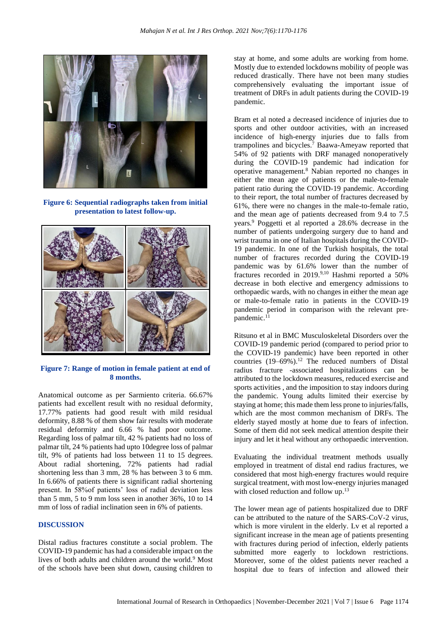

**Figure 6: Sequential radiographs taken from initial presentation to latest follow-up.**



## **Figure 7: Range of motion in female patient at end of 8 months.**

Anatomical outcome as per Sarmiento criteria. 66.67% patients had excellent result with no residual deformity, 17.77% patients had good result with mild residual deformity, 8.88 % of them show fair results with moderate residual deformity and 6.66 % had poor outcome. Regarding loss of palmar tilt, 42 % patients had no loss of palmar tilt, 24 % patients had upto 10degree loss of palmar tilt, 9% of patients had loss between 11 to 15 degrees. About radial shortening, 72% patients had radial shortening less than 3 mm, 28 % has between 3 to 6 mm. In 6.66% of patients there is significant radial shortening present. In 58%of patients' loss of radial deviation less than 5 mm, 5 to 9 mm loss seen in another 36%, 10 to 14 mm of loss of radial inclination seen in 6% of patients.

## **DISCUSSION**

Distal radius fractures constitute a social problem. The COVID-19 pandemic has had a considerable impact on the lives of both adults and children around the world.<sup>9</sup> Most of the schools have been shut down, causing children to

stay at home, and some adults are working from home. Mostly due to extended lockdowns mobility of people was reduced drastically. There have not been many studies comprehensively evaluating the important issue of treatment of DRFs in adult patients during the COVID-19 pandemic.

Bram et al noted a decreased incidence of injuries due to sports and other outdoor activities, with an increased incidence of high-energy injuries due to falls from trampolines and bicycles. <sup>7</sup> Baawa-Ameyaw reported that 54% of 92 patients with DRF managed nonoperatively during the COVID-19 pandemic had indication for operative management.<sup>8</sup> Nabian reported no changes in either the mean age of patients or the male-to-female patient ratio during the COVID-19 pandemic. According to their report, the total number of fractures decreased by 61%, there were no changes in the male-to-female ratio, and the mean age of patients decreased from 9.4 to 7.5 years.<sup>9</sup> Poggetti et al reported a 28.6% decrease in the number of patients undergoing surgery due to hand and wrist trauma in one of Italian hospitals during the COVID-19 pandemic. In one of the Turkish hospitals, the total number of fractures recorded during the COVID-19 pandemic was by 61.6% lower than the number of fractures recorded in 2019.9,10 Hashmi reported a 50% decrease in both elective and emergency admissions to orthopaedic wards, with no changes in either the mean age or male-to-female ratio in patients in the COVID-19 pandemic period in comparison with the relevant prepandemic. 11

Ritsuno et al in BMC Musculoskeletal Disorders over the COVID-19 pandemic period (compared to period prior to the COVID-19 pandemic) have been reported in other countries (19–69%). <sup>12</sup> The reduced numbers of Distal radius fracture -associated hospitalizations can be attributed to the lockdown measures, reduced exercise and sports activities , and the imposition to stay indoors during the pandemic. Young adults limited their exercise by staying at home; this made them less prone to injuries/falls, which are the most common mechanism of DRFs. The elderly stayed mostly at home due to fears of infection. Some of them did not seek medical attention despite their injury and let it heal without any orthopaedic intervention.

Evaluating the individual treatment methods usually employed in treatment of distal end radius fractures, we considered that most high-energy fractures would require surgical treatment, with most low-energy injuries managed with closed reduction and follow up.<sup>13</sup>

The lower mean age of patients hospitalized due to DRF can be attributed to the nature of the SARS-CoV-2 virus, which is more virulent in the elderly. Lv et al reported a significant increase in the mean age of patients presenting with fractures during period of infection, elderly patients submitted more eagerly to lockdown restrictions. Moreover, some of the oldest patients never reached a hospital due to fears of infection and allowed their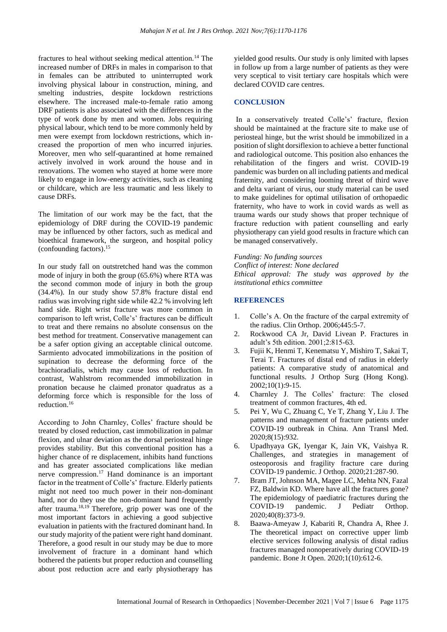fractures to heal without seeking medical attention.<sup>14</sup> The increased number of DRFs in males in comparison to that in females can be attributed to uninterrupted work involving physical labour in construction, mining, and smelting industries, despite lockdown restrictions elsewhere. The increased male-to-female ratio among DRF patients is also associated with the differences in the type of work done by men and women. Jobs requiring physical labour, which tend to be more commonly held by men were exempt from lockdown restrictions, which increased the proportion of men who incurred injuries. Moreover, men who self-quarantined at home remained actively involved in work around the house and in renovations. The women who stayed at home were more likely to engage in low-energy activities, such as cleaning or childcare, which are less traumatic and less likely to cause DRFs.

The limitation of our work may be the fact, that the epidemiology of DRF during the COVID-19 pandemic may be influenced by other factors, such as medical and bioethical framework, the surgeon, and hospital policy (confounding factors). 15

In our study fall on outstretched hand was the common mode of injury in both the group (65.6%) where RTA was the second common mode of injury in both the group (34.4%). In our study show 57.8% fracture distal end radius was involving right side while 42.2 % involving left hand side. Right wrist fracture was more common in comparison to left wrist, Colle's' fractures can be difficult to treat and there remains no absolute consensus on the best method for treatment. Conservative management can be a safer option giving an acceptable clinical outcome. Sarmiento advocated immobilizations in the position of supination to decrease the deforming force of the brachioradialis, which may cause loss of reduction. In contrast, Wahlstrom recommended immobilization in pronation because he claimed pronator quadratus as a deforming force which is responsible for the loss of reduction. 16

According to John Charnley, Colles' fracture should be treated by closed reduction, cast immobilization in palmar flexion, and ulnar deviation as the dorsal periosteal hinge provides stability. But this conventional position has a higher chance of re displacement, inhibits hand functions and has greater associated complications like median nerve compression. <sup>17</sup> Hand dominance is an important factor in the treatment of Colle's' fracture. Elderly patients might not need too much power in their non-dominant hand, nor do they use the non-dominant hand frequently after trauma. 18,19 Therefore, grip power was one of the most important factors in achieving a good subjective evaluation in patients with the fractured dominant hand. In our study majority of the patient were right hand dominant. Therefore, a good result in our study may be due to more involvement of fracture in a dominant hand which bothered the patients but proper reduction and counselling about post reduction acre and early physiotherapy has

yielded good results. Our study is only limited with lapses in follow up from a large number of patients as they were very sceptical to visit tertiary care hospitals which were declared COVID care centres.

## **CONCLUSION**

In a conservatively treated Colle's' fracture, flexion should be maintained at the fracture site to make use of periosteal hinge, but the wrist should be immobilized in a position of slight dorsiflexion to achieve a better functional and radiological outcome. This position also enhances the rehabilitation of the fingers and wrist. COVID-19 pandemic was burden on all including patients and medical fraternity, and considering looming threat of third wave and delta variant of virus, our study material can be used to make guidelines for optimal utilisation of orthopaedic fraternity, who have to work in covid wards as well as trauma wards our study shows that proper technique of fracture reduction with patient counselling and early physiotherapy can yield good results in fracture which can be managed conservatively.

*Funding: No funding sources Conflict of interest: None declared Ethical approval: The study was approved by the institutional ethics committee*

#### **REFERENCES**

- 1. Colle's A. On the fracture of the carpal extremity of the radius. Clin Orthop. 2006;445:5-7.
- 2. Rockwood CA Jr, David Livean P. Fractures in adult's 5th edition. 2001;2:815-63.
- 3. Fujii K, Henmi T, Kenematsu Y, Mishiro T, Sakai T, Terai T. Fractures of distal end of radius in elderly patients: A comparative study of anatomical and functional results. J Orthop Surg (Hong Kong). 2002;10(1):9-15.
- 4. Charnley J. The Colles' fracture: The closed treatment of common fractures, 4th ed.
- 5. Pei Y, Wu C, Zhuang C, Ye T, Zhang Y, Liu J. The patterns and management of fracture patients under COVID-19 outbreak in China. Ann Transl Med. 2020;8(15):932.
- 6. Upadhyaya GK, Iyengar K, Jain VK, Vaishya R. Challenges, and strategies in management of osteoporosis and fragility fracture care during COVID-19 pandemic. J Orthop. 2020;21:287-90.
- 7. Bram JT, Johnson MA, Magee LC, Mehta NN, Fazal FZ, Baldwin KD. Where have all the fractures gone? The epidemiology of paediatric fractures during the COVID-19 pandemic. J Pediatr Orthop. 2020;40(8):373-9.
- 8. Baawa-Ameyaw J, Kabariti R, Chandra A, Rhee J. The theoretical impact on corrective upper limb elective services following analysis of distal radius fractures managed nonoperatively during COVID-19 pandemic. Bone Jt Open. 2020;1(10):612-6.